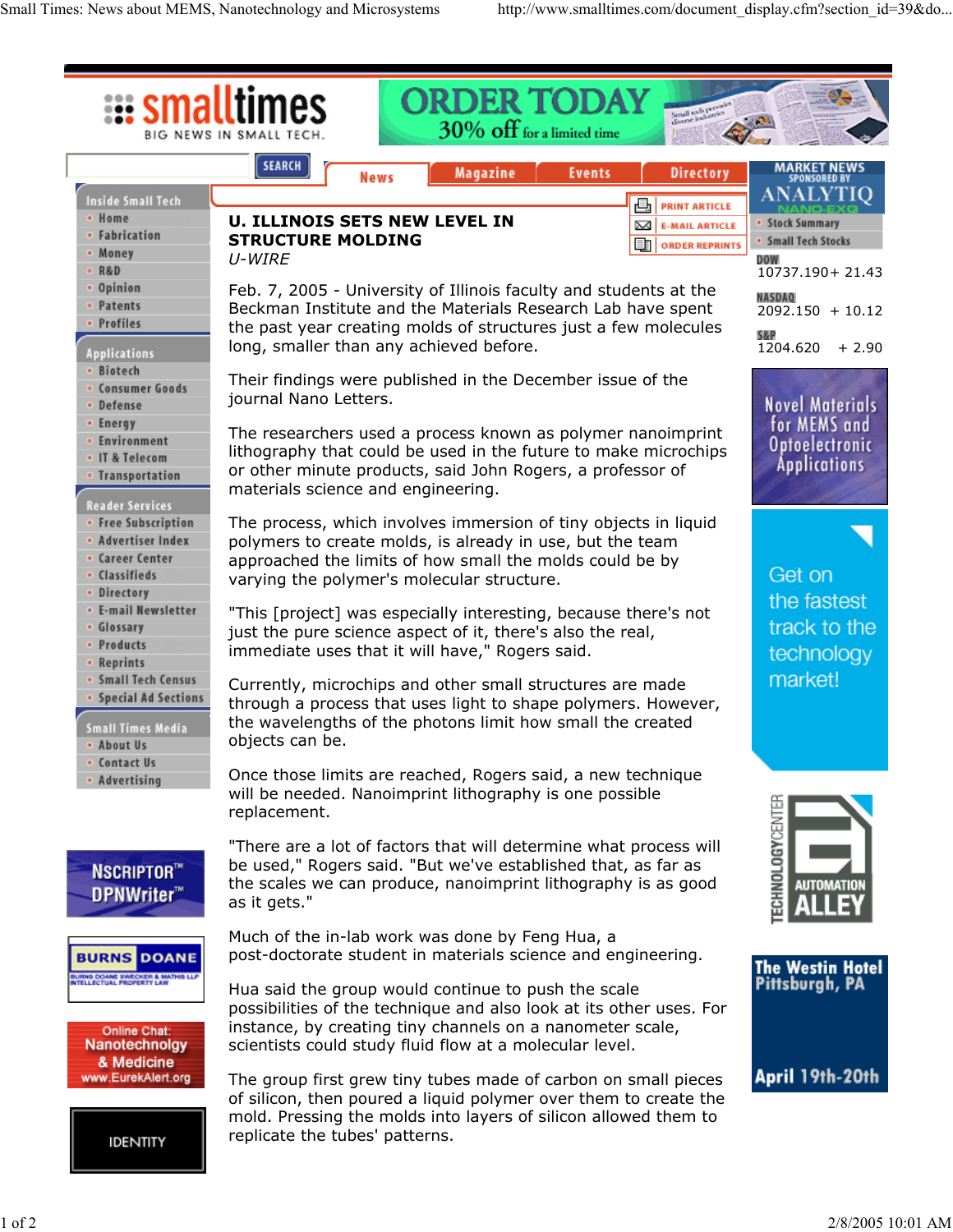